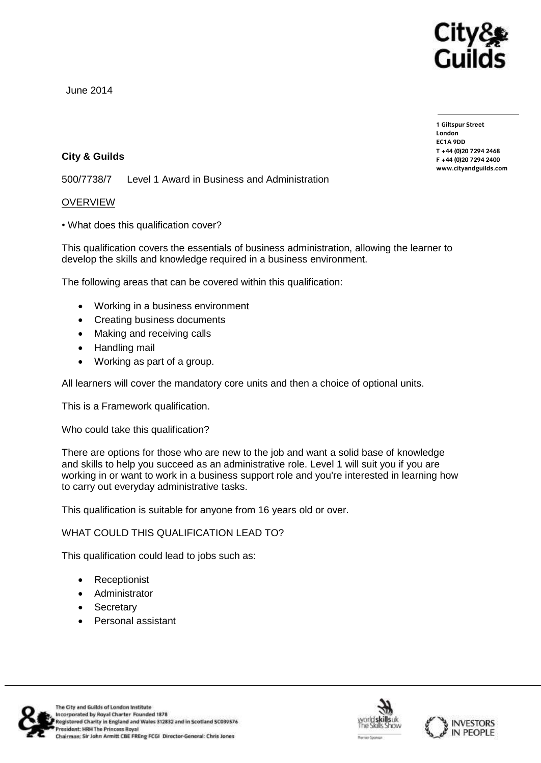

June 2014

**City & Guilds**

500/7738/7 Level 1 Award in Business and Administration

## OVERVIEW

• What does this qualification cover?

This qualification covers the essentials of business administration, allowing the learner to develop the skills and knowledge required in a business environment.

The following areas that can be covered within this qualification:

- Working in a business environment
- Creating business documents
- Making and receiving calls
- Handling mail
- Working as part of a group.

All learners will cover the mandatory core units and then a choice of optional units.

This is a Framework qualification.

Who could take this qualification?

There are options for those who are new to the job and want a solid base of knowledge and skills to help you succeed as an administrative role. Level 1 will suit you if you are working in or want to work in a business support role and you're interested in learning how to carry out everyday administrative tasks.

This qualification is suitable for anyone from 16 years old or over.

WHAT COULD THIS QUALIFICATION LEAD TO?

This qualification could lead to jobs such as:

- Receptionist
- Administrator
- Secretary
- Personal assistant







**1 Giltspur Street EC1A 9DD**  $T + 44 (0)20 7294 2468$ **T +44 (0)20 7294 246[8](http://www.cityandguilds.com/)**  $www.cityandguilds.com$ **[www.cityandguilds.com](http://www.cityandguilds.com/)**